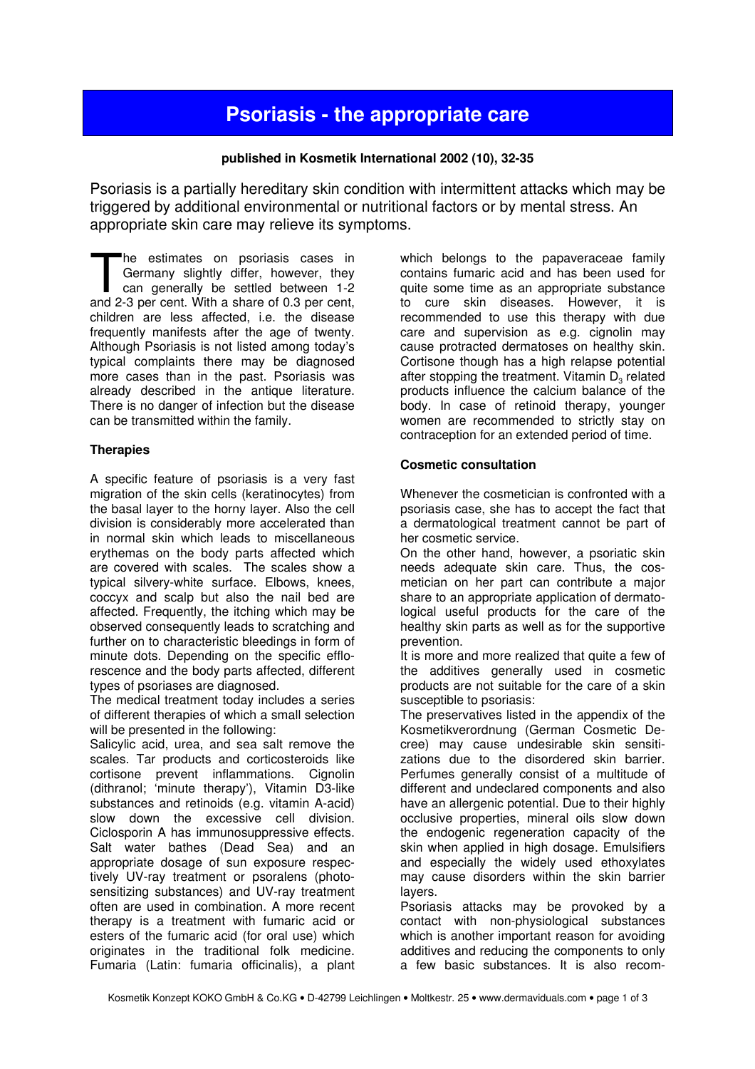# Psoriasis - the appropriate care

# published in Kosmetik International 2002 (10), 32-35

Psoriasis is a partially hereditary skin condition with intermittent attacks which may be triggered by additional environmental or nutritional factors or by mental stress. An appropriate skin care may relieve its symptoms.

he estimates on psoriasis cases in Germany slightly differ, however, they can generally be settled between 1-2 The estimates on psoriasis cases in<br>Germany slightly differ, however, they<br>can generally be settled between 1-2<br>and 2-3 per cent. With a share of 0.3 per cent, children are less affected, i.e. the disease frequently manifests after the age of twenty. Although Psoriasis is not listed among today's typical complaints there may be diagnosed more cases than in the past. Psoriasis was already described in the antique literature. There is no danger of infection but the disease can be transmitted within the family.

## **Therapies**

A specific feature of psoriasis is a very fast migration of the skin cells (keratinocytes) from the basal layer to the horny layer. Also the cell division is considerably more accelerated than in normal skin which leads to miscellaneous erythemas on the body parts affected which are covered with scales. The scales show a typical silvery-white surface. Elbows, knees, coccyx and scalp but also the nail bed are affected. Frequently, the itching which may be observed consequently leads to scratching and further on to characteristic bleedings in form of minute dots. Depending on the specific efflorescence and the body parts affected, different types of psoriases are diagnosed.

The medical treatment today includes a series of different therapies of which a small selection will be presented in the following:

Salicylic acid, urea, and sea salt remove the scales. Tar products and corticosteroids like cortisone prevent inflammations. Cignolin (dithranol; 'minute therapy'), Vitamin D3-like substances and retinoids (e.g. vitamin A-acid) slow down the excessive cell division. Ciclosporin A has immunosuppressive effects. Salt water bathes (Dead Sea) and an appropriate dosage of sun exposure respectively UV-ray treatment or psoralens (photosensitizing substances) and UV-ray treatment often are used in combination. A more recent therapy is a treatment with fumaric acid or esters of the fumaric acid (for oral use) which originates in the traditional folk medicine. Fumaria (Latin: fumaria officinalis), a plant

which belongs to the papaveraceae family contains fumaric acid and has been used for quite some time as an appropriate substance to cure skin diseases. However, it is recommended to use this therapy with due care and supervision as e.g. cignolin may cause protracted dermatoses on healthy skin. Cortisone though has a high relapse potential after stopping the treatment. Vitamin  $D_3$  related products influence the calcium balance of the body. In case of retinoid therapy, younger women are recommended to strictly stay on contraception for an extended period of time.

# Cosmetic consultation

Whenever the cosmetician is confronted with a psoriasis case, she has to accept the fact that a dermatological treatment cannot be part of her cosmetic service.

On the other hand, however, a psoriatic skin needs adequate skin care. Thus, the cosmetician on her part can contribute a major share to an appropriate application of dermatological useful products for the care of the healthy skin parts as well as for the supportive prevention.

It is more and more realized that quite a few of the additives generally used in cosmetic products are not suitable for the care of a skin susceptible to psoriasis:

The preservatives listed in the appendix of the Kosmetikverordnung (German Cosmetic Decree) may cause undesirable skin sensitizations due to the disordered skin barrier. Perfumes generally consist of a multitude of different and undeclared components and also have an allergenic potential. Due to their highly occlusive properties, mineral oils slow down the endogenic regeneration capacity of the skin when applied in high dosage. Emulsifiers and especially the widely used ethoxylates may cause disorders within the skin barrier layers.

Psoriasis attacks may be provoked by a contact with non-physiological substances which is another important reason for avoiding additives and reducing the components to only a few basic substances. It is also recom-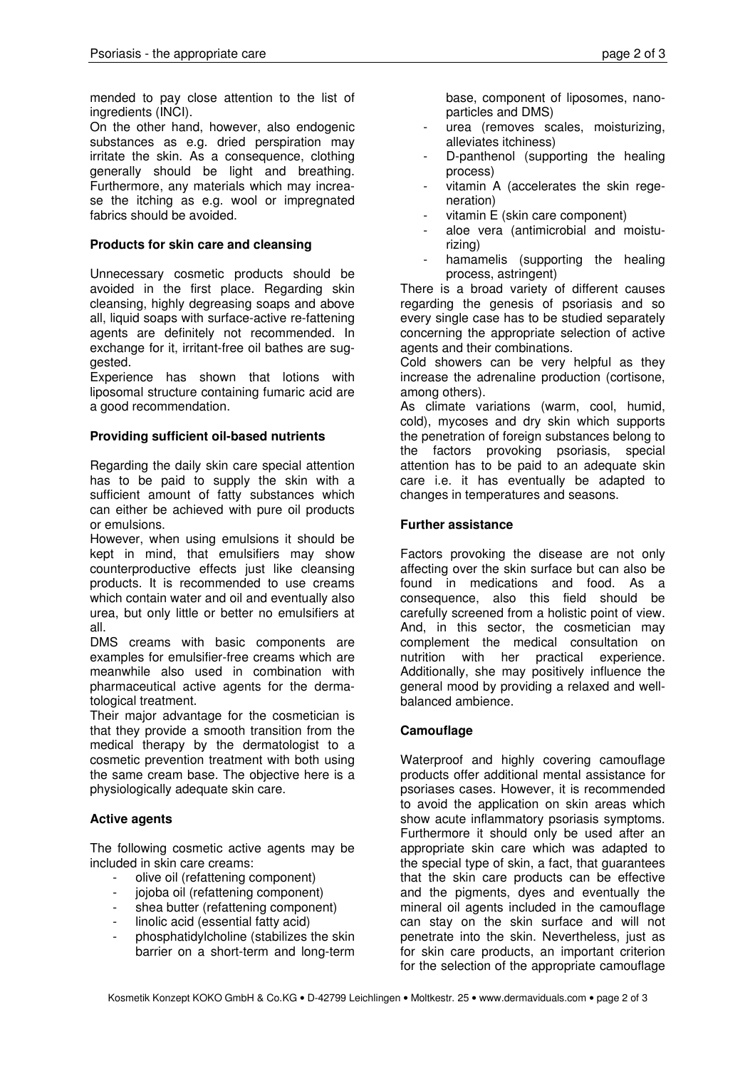mended to pay close attention to the list of ingredients (INCI).

On the other hand, however, also endogenic substances as e.g. dried perspiration may irritate the skin. As a consequence, clothing generally should be light and breathing. Furthermore, any materials which may increase the itching as e.g. wool or impregnated fabrics should be avoided.

### Products for skin care and cleansing

Unnecessary cosmetic products should be avoided in the first place. Regarding skin cleansing, highly degreasing soaps and above all, liquid soaps with surface-active re-fattening agents are definitely not recommended. In exchange for it, irritant-free oil bathes are suggested.

Experience has shown that lotions with liposomal structure containing fumaric acid are a good recommendation.

#### Providing sufficient oil-based nutrients

Regarding the daily skin care special attention has to be paid to supply the skin with a sufficient amount of fatty substances which can either be achieved with pure oil products or emulsions.

However, when using emulsions it should be kept in mind, that emulsifiers may show counterproductive effects just like cleansing products. It is recommended to use creams which contain water and oil and eventually also urea, but only little or better no emulsifiers at all.

DMS creams with basic components are examples for emulsifier-free creams which are meanwhile also used in combination with pharmaceutical active agents for the dermatological treatment.

Their major advantage for the cosmetician is that they provide a smooth transition from the medical therapy by the dermatologist to a cosmetic prevention treatment with both using the same cream base. The objective here is a physiologically adequate skin care.

## Active agents

The following cosmetic active agents may be included in skin care creams:

- olive oil (refattening component)
- jojoba oil (refattening component)
- shea butter (refattening component)
- linolic acid (essential fatty acid)
- phosphatidylcholine (stabilizes the skin barrier on a short-term and long-term

base, component of liposomes, nanoparticles and DMS)

- urea (removes scales, moisturizing, alleviates itchiness)
- D-panthenol (supporting the healing process)
- vitamin A (accelerates the skin regeneration)
- vitamin E (skin care component)
- aloe vera (antimicrobial and moisturizing)
- hamamelis (supporting the healing process, astringent)

There is a broad variety of different causes regarding the genesis of psoriasis and so every single case has to be studied separately concerning the appropriate selection of active agents and their combinations.

Cold showers can be very helpful as they increase the adrenaline production (cortisone, among others).

As climate variations (warm, cool, humid, cold), mycoses and dry skin which supports the penetration of foreign substances belong to the factors provoking psoriasis, special attention has to be paid to an adequate skin care i.e. it has eventually be adapted to changes in temperatures and seasons.

#### Further assistance

Factors provoking the disease are not only affecting over the skin surface but can also be found in medications and food. As a consequence, also this field should be carefully screened from a holistic point of view. And, in this sector, the cosmetician may complement the medical consultation on nutrition with her practical experience. Additionally, she may positively influence the general mood by providing a relaxed and wellbalanced ambience.

## **Camouflage**

Waterproof and highly covering camouflage products offer additional mental assistance for psoriases cases. However, it is recommended to avoid the application on skin areas which show acute inflammatory psoriasis symptoms. Furthermore it should only be used after an appropriate skin care which was adapted to the special type of skin, a fact, that guarantees that the skin care products can be effective and the pigments, dyes and eventually the mineral oil agents included in the camouflage can stay on the skin surface and will not penetrate into the skin. Nevertheless, just as for skin care products, an important criterion for the selection of the appropriate camouflage